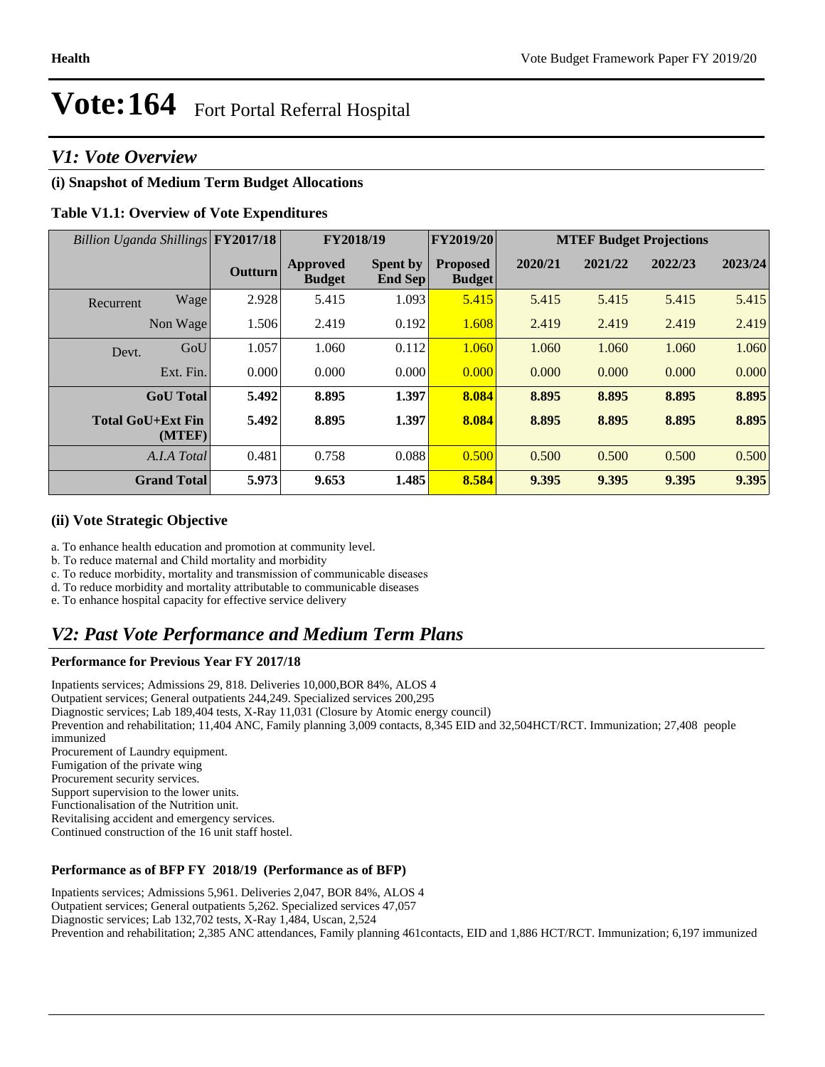## *V1: Vote Overview*

#### **(i) Snapshot of Medium Term Budget Allocations**

#### **Table V1.1: Overview of Vote Expenditures**

| Billion Uganda Shillings FY2017/18 |                    |                | FY2018/19                        |                                   | FY2019/20                        | <b>MTEF Budget Projections</b> |         |         |         |
|------------------------------------|--------------------|----------------|----------------------------------|-----------------------------------|----------------------------------|--------------------------------|---------|---------|---------|
|                                    |                    | <b>Outturn</b> | <b>Approved</b><br><b>Budget</b> | <b>Spent by</b><br><b>End Sep</b> | <b>Proposed</b><br><b>Budget</b> | 2020/21                        | 2021/22 | 2022/23 | 2023/24 |
| Recurrent                          | Wage               | 2.928          | 5.415                            | 1.093                             | 5.415                            | 5.415                          | 5.415   | 5.415   | 5.415   |
|                                    | Non Wage           | 1.506          | 2.419                            | 0.192                             | 1.608                            | 2.419                          | 2.419   | 2.419   | 2.419   |
| Devt.                              | GoU                | 1.057          | 1.060                            | 0.112                             | 1.060                            | 1.060                          | 1.060   | 1.060   | 1.060   |
|                                    | Ext. Fin.          | 0.000          | 0.000                            | 0.000                             | 0.000                            | 0.000                          | 0.000   | 0.000   | 0.000   |
|                                    | <b>GoU</b> Total   | 5.492          | 8.895                            | 1.397                             | 8.084                            | 8.895                          | 8.895   | 8.895   | 8.895   |
| <b>Total GoU+Ext Fin</b>           | (MTEF)             | 5.492          | 8.895                            | 1.397                             | 8.084                            | 8.895                          | 8.895   | 8.895   | 8.895   |
|                                    | A.I.A Total        | 0.481          | 0.758                            | 0.088                             | 0.500                            | 0.500                          | 0.500   | 0.500   | 0.500   |
|                                    | <b>Grand Total</b> | 5.973          | 9.653                            | 1.485                             | 8.584                            | 9.395                          | 9.395   | 9.395   | 9.395   |

#### **(ii) Vote Strategic Objective**

- a. To enhance health education and promotion at community level.
- b. To reduce maternal and Child mortality and morbidity
- c. To reduce morbidity, mortality and transmission of communicable diseases
- d. To reduce morbidity and mortality attributable to communicable diseases
- e. To enhance hospital capacity for effective service delivery

## *V2: Past Vote Performance and Medium Term Plans*

#### **Performance for Previous Year FY 2017/18**

Inpatients services; Admissions 29, 818. Deliveries 10,000,BOR 84%, ALOS 4 Outpatient services; General outpatients 244,249. Specialized services 200,295 Diagnostic services; Lab 189,404 tests, X-Ray 11,031 (Closure by Atomic energy council) Prevention and rehabilitation; 11,404 ANC, Family planning 3,009 contacts, 8,345 EID and 32,504HCT/RCT. Immunization; 27,408 people immunized Procurement of Laundry equipment. Fumigation of the private wing Procurement security services. Support supervision to the lower units. Functionalisation of the Nutrition unit. Revitalising accident and emergency services. Continued construction of the 16 unit staff hostel.

#### **Performance as of BFP FY 2018/19 (Performance as of BFP)**

Inpatients services; Admissions 5,961. Deliveries 2,047, BOR 84%, ALOS 4 Outpatient services; General outpatients 5,262. Specialized services 47,057 Diagnostic services; Lab 132,702 tests, X-Ray 1,484, Uscan, 2,524 Prevention and rehabilitation; 2,385 ANC attendances, Family planning 461contacts, EID and 1,886 HCT/RCT. Immunization; 6,197 immunized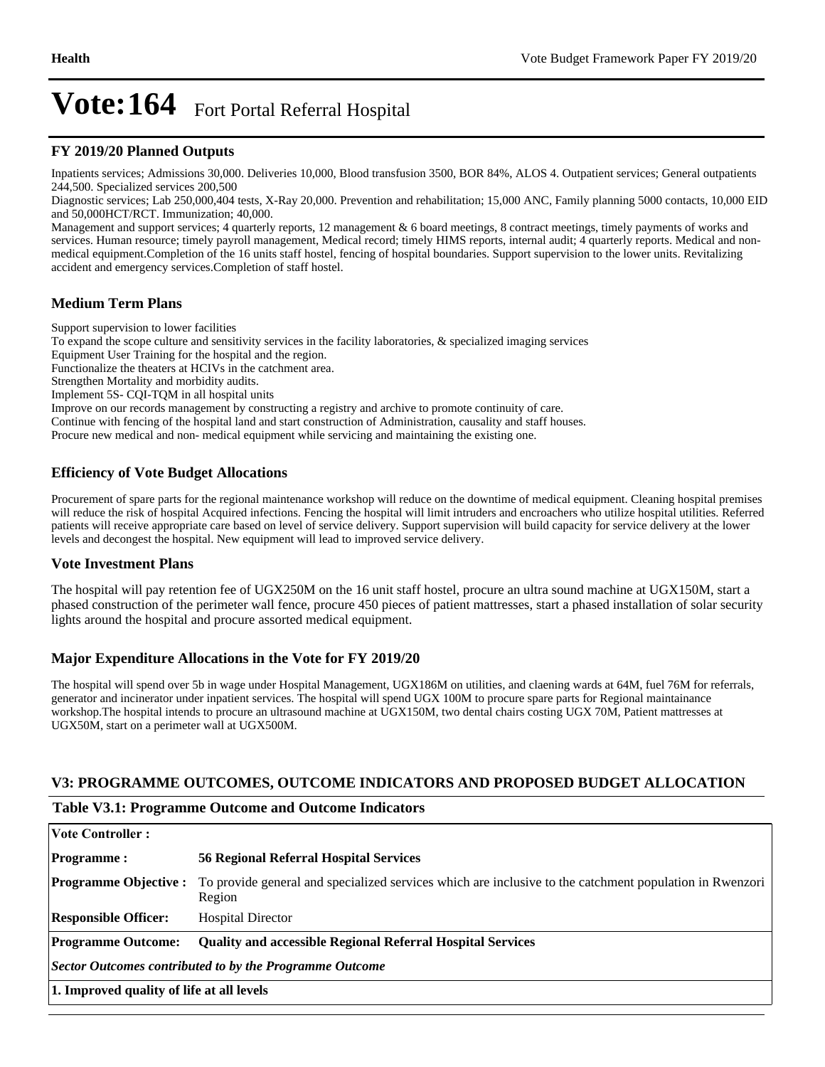#### **FY 2019/20 Planned Outputs**

Inpatients services; Admissions 30,000. Deliveries 10,000, Blood transfusion 3500, BOR 84%, ALOS 4. Outpatient services; General outpatients 244,500. Specialized services 200,500

Diagnostic services; Lab 250,000,404 tests, X-Ray 20,000. Prevention and rehabilitation; 15,000 ANC, Family planning 5000 contacts, 10,000 EID and 50,000HCT/RCT. Immunization; 40,000.

Management and support services; 4 quarterly reports, 12 management & 6 board meetings, 8 contract meetings, timely payments of works and services. Human resource; timely payroll management, Medical record; timely HIMS reports, internal audit; 4 quarterly reports. Medical and nonmedical equipment.Completion of the 16 units staff hostel, fencing of hospital boundaries. Support supervision to the lower units. Revitalizing accident and emergency services.Completion of staff hostel.

#### **Medium Term Plans**

Support supervision to lower facilities To expand the scope culture and sensitivity services in the facility laboratories, & specialized imaging services Equipment User Training for the hospital and the region. Functionalize the theaters at HCIVs in the catchment area. Strengthen Mortality and morbidity audits. Implement 5S- CQI-TQM in all hospital units Improve on our records management by constructing a registry and archive to promote continuity of care. Continue with fencing of the hospital land and start construction of Administration, causality and staff houses. Procure new medical and non- medical equipment while servicing and maintaining the existing one.

#### **Efficiency of Vote Budget Allocations**

Procurement of spare parts for the regional maintenance workshop will reduce on the downtime of medical equipment. Cleaning hospital premises will reduce the risk of hospital Acquired infections. Fencing the hospital will limit intruders and encroachers who utilize hospital utilities. Referred patients will receive appropriate care based on level of service delivery. Support supervision will build capacity for service delivery at the lower levels and decongest the hospital. New equipment will lead to improved service delivery.

#### **Vote Investment Plans**

The hospital will pay retention fee of UGX250M on the 16 unit staff hostel, procure an ultra sound machine at UGX150M, start a phased construction of the perimeter wall fence, procure 450 pieces of patient mattresses, start a phased installation of solar security lights around the hospital and procure assorted medical equipment.

#### **Major Expenditure Allocations in the Vote for FY 2019/20**

The hospital will spend over 5b in wage under Hospital Management, UGX186M on utilities, and claening wards at 64M, fuel 76M for referrals, generator and incinerator under inpatient services. The hospital will spend UGX 100M to procure spare parts for Regional maintainance workshop.The hospital intends to procure an ultrasound machine at UGX150M, two dental chairs costing UGX 70M, Patient mattresses at UGX50M, start on a perimeter wall at UGX500M.

#### **V3: PROGRAMME OUTCOMES, OUTCOME INDICATORS AND PROPOSED BUDGET ALLOCATION**

#### **Table V3.1: Programme Outcome and Outcome Indicators**

| Vote Controller :                                       |                                                                                                                   |  |  |  |  |
|---------------------------------------------------------|-------------------------------------------------------------------------------------------------------------------|--|--|--|--|
| <b>Programme:</b>                                       | <b>56 Regional Referral Hospital Services</b>                                                                     |  |  |  |  |
| <b>Programme Objective:</b>                             | To provide general and specialized services which are inclusive to the catchment population in Rwenzori<br>Region |  |  |  |  |
| <b>Responsible Officer:</b>                             | <b>Hospital Director</b>                                                                                          |  |  |  |  |
| <b>Programme Outcome:</b>                               | <b>Quality and accessible Regional Referral Hospital Services</b>                                                 |  |  |  |  |
| Sector Outcomes contributed to by the Programme Outcome |                                                                                                                   |  |  |  |  |
| 1. Improved quality of life at all levels               |                                                                                                                   |  |  |  |  |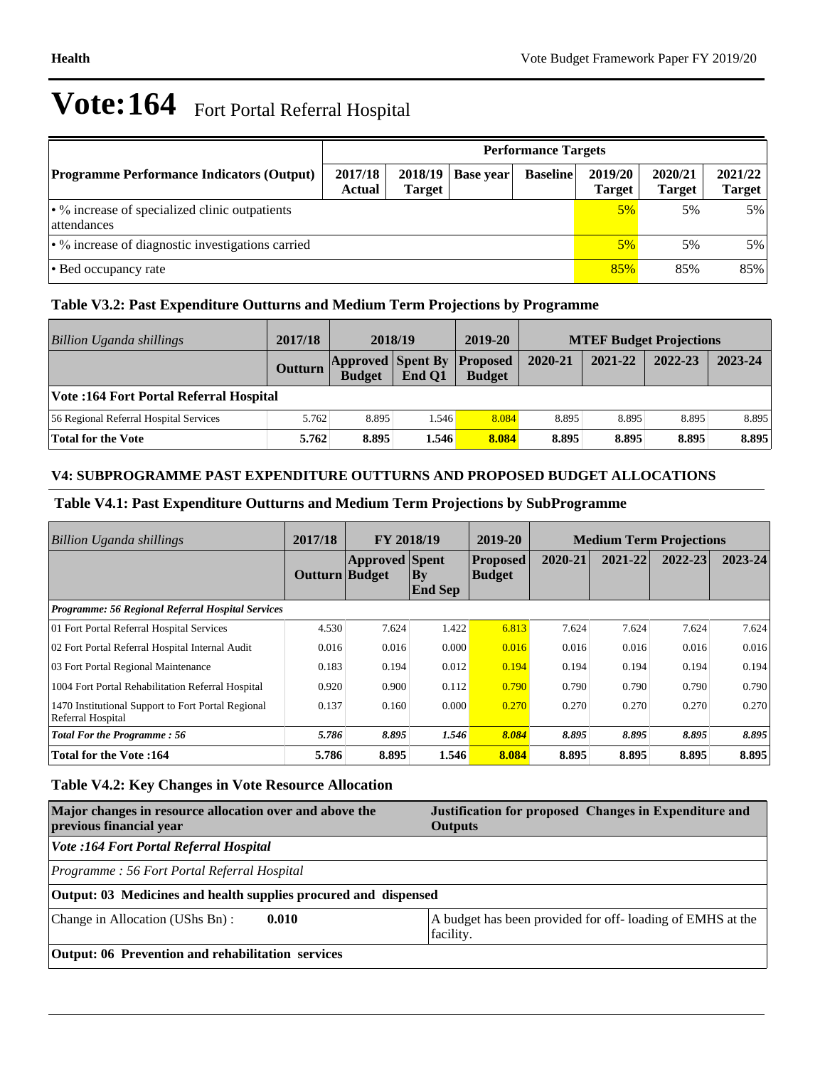|                                                                     | <b>Performance Targets</b> |                          |           |                 |                          |                          |                          |  |  |
|---------------------------------------------------------------------|----------------------------|--------------------------|-----------|-----------------|--------------------------|--------------------------|--------------------------|--|--|
| <b>Programme Performance Indicators (Output)</b>                    | 2017/18<br>Actual          | 2018/19<br><b>Target</b> | Base year | <b>Baseline</b> | 2019/20<br><b>Target</b> | 2020/21<br><b>Target</b> | 2021/22<br><b>Target</b> |  |  |
| $\cdot$ % increase of specialized clinic outpatients<br>attendances | 5%                         | 5%                       | $5\%$     |                 |                          |                          |                          |  |  |
| $\cdot$ % increase of diagnostic investigations carried             |                            |                          |           |                 |                          | 5%                       | 5%                       |  |  |
| • Bed occupancy rate                                                |                            |                          |           |                 | 85%                      | 85%                      | 85%                      |  |  |

### **Table V3.2: Past Expenditure Outturns and Medium Term Projections by Programme**

| <b>Billion Uganda shillings</b>         | 2017/18        | 2018/19                                   |        | 2019-20                          | <b>MTEF Budget Projections</b> |         |         |         |
|-----------------------------------------|----------------|-------------------------------------------|--------|----------------------------------|--------------------------------|---------|---------|---------|
|                                         | <b>Outturn</b> | <b>Approved Spent By</b><br><b>Budget</b> | End O1 | <b>Proposed</b><br><b>Budget</b> | 2020-21                        | 2021-22 | 2022-23 | 2023-24 |
| Vote: 164 Fort Portal Referral Hospital |                |                                           |        |                                  |                                |         |         |         |
| 56 Regional Referral Hospital Services  | 5.762          | 8.895                                     | .546   | 8.084                            | 8.895                          | 8.895   | 8.895   | 8.895   |
| Total for the Vote                      | 5.762          | 8.895                                     | 1.546  | 8.084                            | 8.895                          | 8.895   | 8.895   | 8.895   |

### **V4: SUBPROGRAMME PAST EXPENDITURE OUTTURNS AND PROPOSED BUDGET ALLOCATIONS**

#### **Table V4.1: Past Expenditure Outturns and Medium Term Projections by SubProgramme**

| Billion Uganda shillings                                                | 2017/18               | FY 2018/19            |                          | 2019-20                          | <b>Medium Term Projections</b> |         |         |         |
|-------------------------------------------------------------------------|-----------------------|-----------------------|--------------------------|----------------------------------|--------------------------------|---------|---------|---------|
|                                                                         | <b>Outturn Budget</b> | <b>Approved Spent</b> | $ $ By<br><b>End Sep</b> | <b>Proposed</b><br><b>Budget</b> | 2020-21                        | 2021-22 | 2022-23 | 2023-24 |
| <b>Programme: 56 Regional Referral Hospital Services</b>                |                       |                       |                          |                                  |                                |         |         |         |
| 01 Fort Portal Referral Hospital Services                               | 4.530                 | 7.624                 | 1.422                    | 6.813                            | 7.624                          | 7.624   | 7.624   | 7.624   |
| 02 Fort Portal Referral Hospital Internal Audit                         | 0.016                 | 0.016                 | 0.000                    | 0.016                            | 0.016                          | 0.016   | 0.016   | 0.016   |
| 03 Fort Portal Regional Maintenance                                     | 0.183                 | 0.194                 | 0.012                    | 0.194                            | 0.194                          | 0.194   | 0.194   | 0.194   |
| 1004 Fort Portal Rehabilitation Referral Hospital                       | 0.920                 | 0.900                 | 0.112                    | 0.790                            | 0.790                          | 0.790   | 0.790   | 0.790   |
| 1470 Institutional Support to Fort Portal Regional<br>Referral Hospital | 0.137                 | 0.160                 | 0.000                    | 0.270                            | 0.270                          | 0.270   | 0.270   | 0.270   |
| <b>Total For the Programme: 56</b>                                      | 5.786                 | 8.895                 | 1.546                    | 8.084                            | 8.895                          | 8.895   | 8.895   | 8.895   |
| <b>Total for the Vote:164</b>                                           | 5.786                 | 8.895                 | 1.546                    | 8.084                            | 8.895                          | 8.895   | 8.895   | 8.895   |

### **Table V4.2: Key Changes in Vote Resource Allocation**

| Major changes in resource allocation over and above the<br>previous financial year | Justification for proposed Changes in Expenditure and<br><b>Outputs</b> |  |  |  |  |
|------------------------------------------------------------------------------------|-------------------------------------------------------------------------|--|--|--|--|
| Vote :164 Fort Portal Referral Hospital                                            |                                                                         |  |  |  |  |
| Programme: 56 Fort Portal Referral Hospital                                        |                                                                         |  |  |  |  |
| Output: 03 Medicines and health supplies procured and dispensed                    |                                                                         |  |  |  |  |
| Change in Allocation (UShs Bn):<br>0.010                                           | A budget has been provided for off-loading of EMHS at the<br>facility.  |  |  |  |  |
| Output: 06 Prevention and rehabilitation services                                  |                                                                         |  |  |  |  |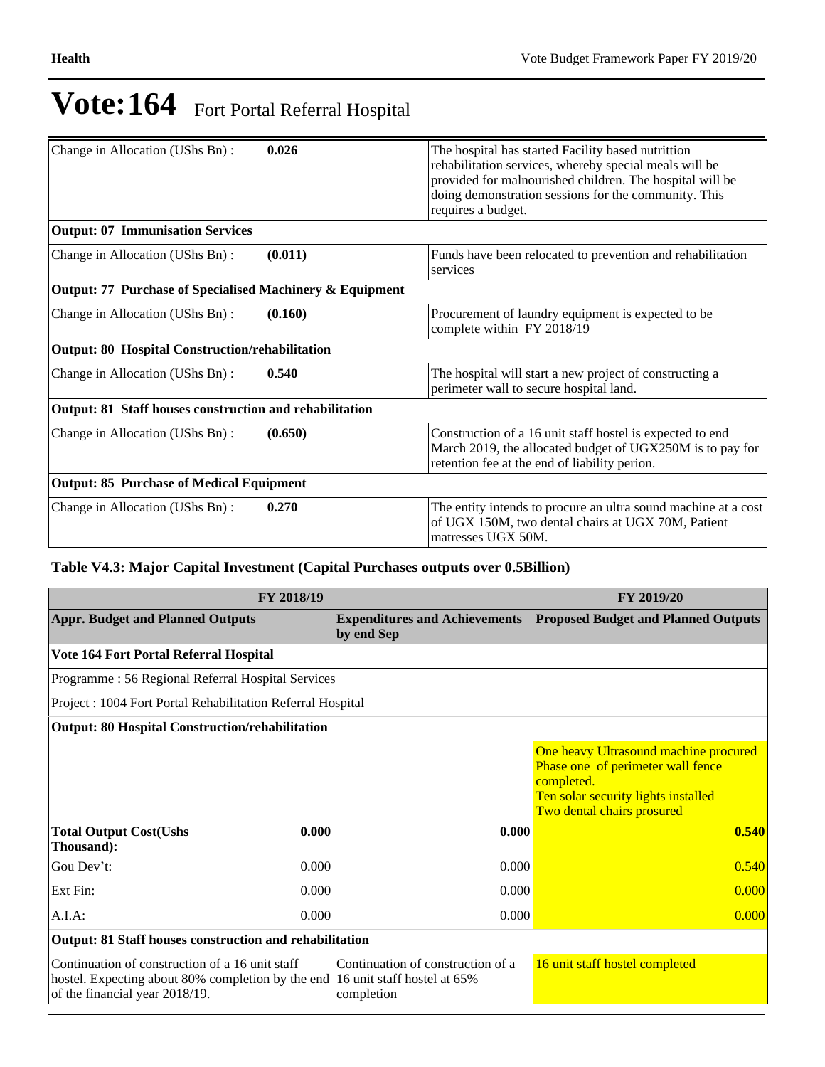| Change in Allocation (UShs Bn):                          | 0.026   | The hospital has started Facility based nutrittion<br>rehabilitation services, whereby special meals will be<br>provided for malnourished children. The hospital will be<br>doing demonstration sessions for the community. This<br>requires a budget. |
|----------------------------------------------------------|---------|--------------------------------------------------------------------------------------------------------------------------------------------------------------------------------------------------------------------------------------------------------|
| <b>Output: 07 Immunisation Services</b>                  |         |                                                                                                                                                                                                                                                        |
| Change in Allocation (UShs Bn):                          | (0.011) | Funds have been relocated to prevention and rehabilitation<br>services                                                                                                                                                                                 |
| Output: 77 Purchase of Specialised Machinery & Equipment |         |                                                                                                                                                                                                                                                        |
| Change in Allocation (UShs Bn):                          | (0.160) | Procurement of laundry equipment is expected to be<br>complete within FY 2018/19                                                                                                                                                                       |
| <b>Output: 80 Hospital Construction/rehabilitation</b>   |         |                                                                                                                                                                                                                                                        |
| Change in Allocation (UShs Bn):                          | 0.540   | The hospital will start a new project of constructing a<br>perimeter wall to secure hospital land.                                                                                                                                                     |
| Output: 81 Staff houses construction and rehabilitation  |         |                                                                                                                                                                                                                                                        |
| Change in Allocation (UShs Bn):                          | (0.650) | Construction of a 16 unit staff hostel is expected to end<br>March 2019, the allocated budget of UGX250M is to pay for<br>retention fee at the end of liability perion.                                                                                |
| <b>Output: 85 Purchase of Medical Equipment</b>          |         |                                                                                                                                                                                                                                                        |
| Change in Allocation (UShs Bn):                          | 0.270   | The entity intends to procure an ultra sound machine at a cost<br>of UGX 150M, two dental chairs at UGX 70M, Patient<br>matresses UGX 50M.                                                                                                             |

### **Table V4.3: Major Capital Investment (Capital Purchases outputs over 0.5Billion)**

|                                                                                                                                  | FY 2019/20                     |                                                    |                                                                                                                                                                        |  |
|----------------------------------------------------------------------------------------------------------------------------------|--------------------------------|----------------------------------------------------|------------------------------------------------------------------------------------------------------------------------------------------------------------------------|--|
| <b>Appr. Budget and Planned Outputs</b>                                                                                          |                                | <b>Expenditures and Achievements</b><br>by end Sep | <b>Proposed Budget and Planned Outputs</b>                                                                                                                             |  |
| Vote 164 Fort Portal Referral Hospital                                                                                           |                                |                                                    |                                                                                                                                                                        |  |
| Programme: 56 Regional Referral Hospital Services                                                                                |                                |                                                    |                                                                                                                                                                        |  |
| Project: 1004 Fort Portal Rehabilitation Referral Hospital                                                                       |                                |                                                    |                                                                                                                                                                        |  |
| <b>Output: 80 Hospital Construction/rehabilitation</b>                                                                           |                                |                                                    |                                                                                                                                                                        |  |
| <b>Total Output Cost(Ushs</b><br>Thousand):                                                                                      | 0.000                          | 0.000                                              | One heavy Ultrasound machine procured<br>Phase one of perimeter wall fence<br>completed.<br>Ten solar security lights installed<br>Two dental chairs prosured<br>0.540 |  |
| Gou Dev't:                                                                                                                       | 0.000                          | 0.000                                              | 0.540                                                                                                                                                                  |  |
| Ext Fin:                                                                                                                         | 0.000                          | 0.000                                              | 0.000                                                                                                                                                                  |  |
| A.I.A:                                                                                                                           | 0.000                          | 0.000                                              | 0.000                                                                                                                                                                  |  |
| Output: 81 Staff houses construction and rehabilitation                                                                          |                                |                                                    |                                                                                                                                                                        |  |
| Continuation of construction of a 16 unit staff<br>hostel. Expecting about 80% completion by the end 16 unit staff hostel at 65% | 16 unit staff hostel completed |                                                    |                                                                                                                                                                        |  |

completion

of the financial year 2018/19.